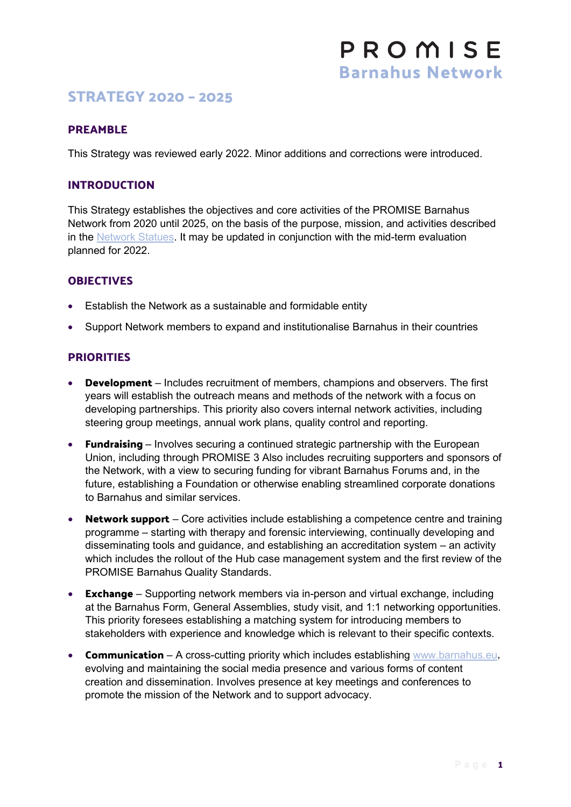# **STRATEGY 2020 – 2025**

#### **PREAMBLE**

This Strategy was reviewed early 2022. Minor additions and corrections were introduced.

## **INTRODUCTION**

This Strategy establishes the objectives and core activities of the PROMISE Barnahus Network from 2020 until 2025, on the basis of the purpose, mission, and activities described in the [Network Statues.](https://www.childrenatrisk.eu/barnahus/wp-content/uploads/sites/5/2020/01/StatutesBarnahusNetwork.pdf) It may be updated in conjunction with the mid-term evaluation planned for 2022.

#### **OBJECTIVES**

- Establish the Network as a sustainable and formidable entity
- Support Network members to expand and institutionalise Barnahus in their countries

#### **PRIORITIES**

- **Development** Includes recruitment of members, champions and observers. The first years will establish the outreach means and methods of the network with a focus on developing partnerships. This priority also covers internal network activities, including steering group meetings, annual work plans, quality control and reporting.
- **Fundraising**  Involves securing a continued strategic partnership with the European Union, including through PROMISE 3 Also includes recruiting supporters and sponsors of the Network, with a view to securing funding for vibrant Barnahus Forums and, in the future, establishing a Foundation or otherwise enabling streamlined corporate donations to Barnahus and similar services.
- **Network support** Core activities include establishing a competence centre and training programme – starting with therapy and forensic interviewing, continually developing and disseminating tools and guidance, and establishing an accreditation system – an activity which includes the rollout of the Hub case management system and the first review of the PROMISE Barnahus Quality Standards.
- **Exchange** Supporting network members via in-person and virtual exchange, including at the Barnahus Form, General Assemblies, study visit, and 1:1 networking opportunities. This priority foresees establishing a matching system for introducing members to stakeholders with experience and knowledge which is relevant to their specific contexts.
- **Communication** A cross-cutting priority which includes establishing [www.barnahus.eu,](http://www.barnahus.eu/) evolving and maintaining the social media presence and various forms of content creation and dissemination. Involves presence at key meetings and conferences to promote the mission of the Network and to support advocacy.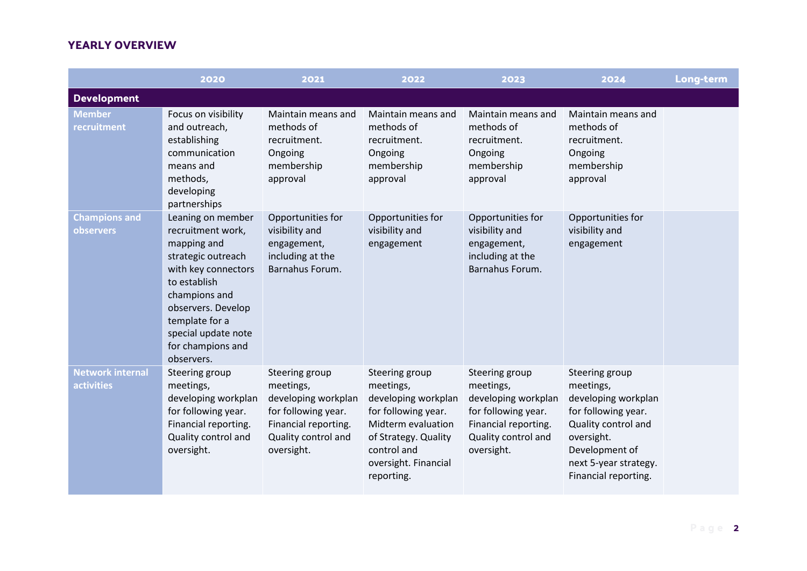|                                              | 2020                                                                                                                                                                                                                                  | 2021                                                                                                                                   | 2022                                                                                                                                                                         | 2023                                                                                                                                   | 2024                                                                                                                                                                              | Long-term |
|----------------------------------------------|---------------------------------------------------------------------------------------------------------------------------------------------------------------------------------------------------------------------------------------|----------------------------------------------------------------------------------------------------------------------------------------|------------------------------------------------------------------------------------------------------------------------------------------------------------------------------|----------------------------------------------------------------------------------------------------------------------------------------|-----------------------------------------------------------------------------------------------------------------------------------------------------------------------------------|-----------|
| <b>Development</b>                           |                                                                                                                                                                                                                                       |                                                                                                                                        |                                                                                                                                                                              |                                                                                                                                        |                                                                                                                                                                                   |           |
| <b>Member</b><br>recruitment                 | Focus on visibility<br>and outreach,<br>establishing<br>communication<br>means and<br>methods,<br>developing<br>partnerships                                                                                                          | Maintain means and<br>methods of<br>recruitment.<br>Ongoing<br>membership<br>approval                                                  | Maintain means and<br>methods of<br>recruitment.<br>Ongoing<br>membership<br>approval                                                                                        | Maintain means and<br>methods of<br>recruitment.<br>Ongoing<br>membership<br>approval                                                  | Maintain means and<br>methods of<br>recruitment.<br>Ongoing<br>membership<br>approval                                                                                             |           |
| <b>Champions and</b><br><b>observers</b>     | Leaning on member<br>recruitment work,<br>mapping and<br>strategic outreach<br>with key connectors<br>to establish<br>champions and<br>observers. Develop<br>template for a<br>special update note<br>for champions and<br>observers. | Opportunities for<br>visibility and<br>engagement,<br>including at the<br>Barnahus Forum.                                              | Opportunities for<br>visibility and<br>engagement                                                                                                                            | Opportunities for<br>visibility and<br>engagement,<br>including at the<br>Barnahus Forum.                                              | Opportunities for<br>visibility and<br>engagement                                                                                                                                 |           |
| <b>Network internal</b><br><b>activities</b> | Steering group<br>meetings,<br>developing workplan<br>for following year.<br>Financial reporting.<br>Quality control and<br>oversight.                                                                                                | Steering group<br>meetings,<br>developing workplan<br>for following year.<br>Financial reporting.<br>Quality control and<br>oversight. | Steering group<br>meetings,<br>developing workplan<br>for following year.<br>Midterm evaluation<br>of Strategy. Quality<br>control and<br>oversight. Financial<br>reporting. | Steering group<br>meetings,<br>developing workplan<br>for following year.<br>Financial reporting.<br>Quality control and<br>oversight. | Steering group<br>meetings,<br>developing workplan<br>for following year.<br>Quality control and<br>oversight.<br>Development of<br>next 5-year strategy.<br>Financial reporting. |           |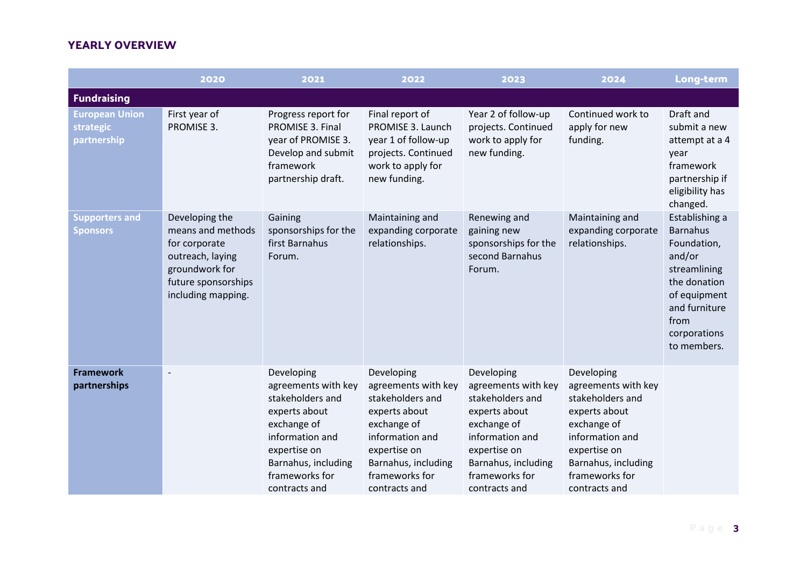|                                                          | 2020                                                                                                                                    | 2021                                                                                                                                                                               | 2022                                                                                                                                                                               | 2023                                                                                                                                                                               | 2024                                                                                                                                                                               | Long-term                                                                                                                                                          |
|----------------------------------------------------------|-----------------------------------------------------------------------------------------------------------------------------------------|------------------------------------------------------------------------------------------------------------------------------------------------------------------------------------|------------------------------------------------------------------------------------------------------------------------------------------------------------------------------------|------------------------------------------------------------------------------------------------------------------------------------------------------------------------------------|------------------------------------------------------------------------------------------------------------------------------------------------------------------------------------|--------------------------------------------------------------------------------------------------------------------------------------------------------------------|
| <b>Fundraising</b>                                       |                                                                                                                                         |                                                                                                                                                                                    |                                                                                                                                                                                    |                                                                                                                                                                                    |                                                                                                                                                                                    |                                                                                                                                                                    |
| <b>European Union</b><br><b>strategic</b><br>partnership | First year of<br>PROMISE 3.                                                                                                             | Progress report for<br>PROMISE 3. Final<br>year of PROMISE 3.<br>Develop and submit<br>framework<br>partnership draft.                                                             | Final report of<br>PROMISE 3. Launch<br>year 1 of follow-up<br>projects. Continued<br>work to apply for<br>new funding.                                                            | Year 2 of follow-up<br>projects. Continued<br>work to apply for<br>new funding.                                                                                                    | Continued work to<br>apply for new<br>funding.                                                                                                                                     | Draft and<br>submit a new<br>attempt at a 4<br>year<br>framework<br>partnership if<br>eligibility has<br>changed.                                                  |
| <b>Supporters and</b><br><b>Sponsors</b>                 | Developing the<br>means and methods<br>for corporate<br>outreach, laying<br>groundwork for<br>future sponsorships<br>including mapping. | Gaining<br>sponsorships for the<br>first Barnahus<br>Forum.                                                                                                                        | Maintaining and<br>expanding corporate<br>relationships.                                                                                                                           | Renewing and<br>gaining new<br>sponsorships for the<br>second Barnahus<br>Forum.                                                                                                   | Maintaining and<br>expanding corporate<br>relationships.                                                                                                                           | Establishing a<br><b>Barnahus</b><br>Foundation,<br>and/or<br>streamlining<br>the donation<br>of equipment<br>and furniture<br>from<br>corporations<br>to members. |
| <b>Framework</b><br>partnerships                         | $\overline{\phantom{a}}$                                                                                                                | Developing<br>agreements with key<br>stakeholders and<br>experts about<br>exchange of<br>information and<br>expertise on<br>Barnahus, including<br>frameworks for<br>contracts and | Developing<br>agreements with key<br>stakeholders and<br>experts about<br>exchange of<br>information and<br>expertise on<br>Barnahus, including<br>frameworks for<br>contracts and | Developing<br>agreements with key<br>stakeholders and<br>experts about<br>exchange of<br>information and<br>expertise on<br>Barnahus, including<br>frameworks for<br>contracts and | Developing<br>agreements with key<br>stakeholders and<br>experts about<br>exchange of<br>information and<br>expertise on<br>Barnahus, including<br>frameworks for<br>contracts and |                                                                                                                                                                    |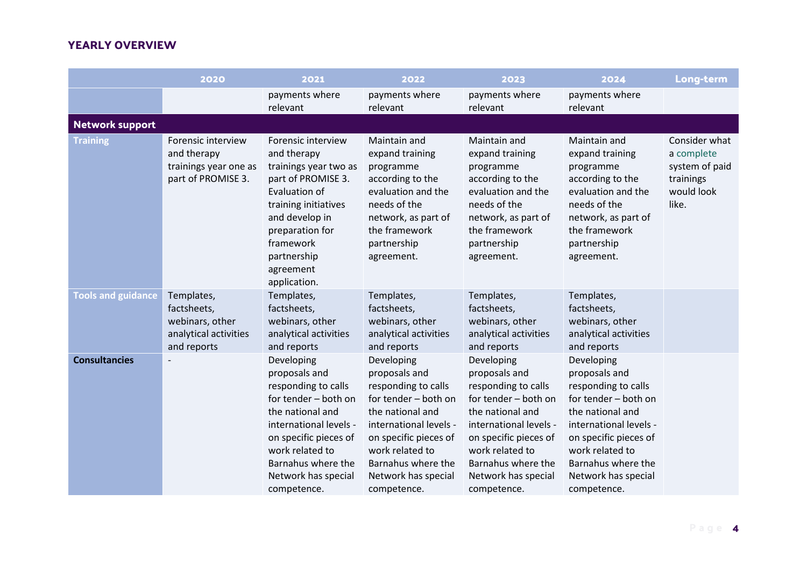|                           | 2020                                                                                 | 2021                                                                                                                                                                                                                             | 2022                                                                                                                                                                                                                             | 2023                                                                                                                                                                                                                             | 2024                                                                                                                                                                                                                             | Long-term                                                                         |
|---------------------------|--------------------------------------------------------------------------------------|----------------------------------------------------------------------------------------------------------------------------------------------------------------------------------------------------------------------------------|----------------------------------------------------------------------------------------------------------------------------------------------------------------------------------------------------------------------------------|----------------------------------------------------------------------------------------------------------------------------------------------------------------------------------------------------------------------------------|----------------------------------------------------------------------------------------------------------------------------------------------------------------------------------------------------------------------------------|-----------------------------------------------------------------------------------|
|                           |                                                                                      | payments where<br>relevant                                                                                                                                                                                                       | payments where<br>relevant                                                                                                                                                                                                       | payments where<br>relevant                                                                                                                                                                                                       | payments where<br>relevant                                                                                                                                                                                                       |                                                                                   |
| <b>Network support</b>    |                                                                                      |                                                                                                                                                                                                                                  |                                                                                                                                                                                                                                  |                                                                                                                                                                                                                                  |                                                                                                                                                                                                                                  |                                                                                   |
| <b>Training</b>           | Forensic interview<br>and therapy<br>trainings year one as<br>part of PROMISE 3.     | Forensic interview<br>and therapy<br>trainings year two as<br>part of PROMISE 3.<br>Evaluation of<br>training initiatives<br>and develop in<br>preparation for<br>framework<br>partnership<br>agreement<br>application.          | Maintain and<br>expand training<br>programme<br>according to the<br>evaluation and the<br>needs of the<br>network, as part of<br>the framework<br>partnership<br>agreement.                                                      | Maintain and<br>expand training<br>programme<br>according to the<br>evaluation and the<br>needs of the<br>network, as part of<br>the framework<br>partnership<br>agreement.                                                      | Maintain and<br>expand training<br>programme<br>according to the<br>evaluation and the<br>needs of the<br>network, as part of<br>the framework<br>partnership<br>agreement.                                                      | Consider what<br>a complete<br>system of paid<br>trainings<br>would look<br>like. |
| <b>Tools and guidance</b> | Templates,<br>factsheets,<br>webinars, other<br>analytical activities<br>and reports | Templates,<br>factsheets,<br>webinars, other<br>analytical activities<br>and reports                                                                                                                                             | Templates,<br>factsheets,<br>webinars, other<br>analytical activities<br>and reports                                                                                                                                             | Templates,<br>factsheets,<br>webinars, other<br>analytical activities<br>and reports                                                                                                                                             | Templates,<br>factsheets,<br>webinars, other<br>analytical activities<br>and reports                                                                                                                                             |                                                                                   |
| <b>Consultancies</b>      |                                                                                      | Developing<br>proposals and<br>responding to calls<br>for tender - both on<br>the national and<br>international levels -<br>on specific pieces of<br>work related to<br>Barnahus where the<br>Network has special<br>competence. | Developing<br>proposals and<br>responding to calls<br>for tender – both on<br>the national and<br>international levels -<br>on specific pieces of<br>work related to<br>Barnahus where the<br>Network has special<br>competence. | Developing<br>proposals and<br>responding to calls<br>for tender - both on<br>the national and<br>international levels -<br>on specific pieces of<br>work related to<br>Barnahus where the<br>Network has special<br>competence. | Developing<br>proposals and<br>responding to calls<br>for tender – both on<br>the national and<br>international levels -<br>on specific pieces of<br>work related to<br>Barnahus where the<br>Network has special<br>competence. |                                                                                   |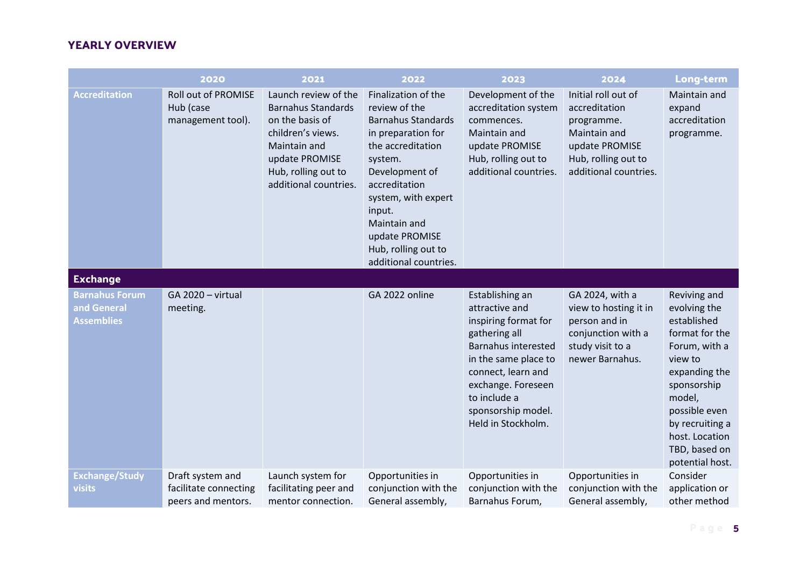|                                                           | 2020                                                            | 2021                                                                                                                                                                        | 2022                                                                                                                                                                                                                                                                          | 2023                                                                                                                                                                                                                                     | 2024                                                                                                                                 | Long-term                                                                                                                                                                                                                     |
|-----------------------------------------------------------|-----------------------------------------------------------------|-----------------------------------------------------------------------------------------------------------------------------------------------------------------------------|-------------------------------------------------------------------------------------------------------------------------------------------------------------------------------------------------------------------------------------------------------------------------------|------------------------------------------------------------------------------------------------------------------------------------------------------------------------------------------------------------------------------------------|--------------------------------------------------------------------------------------------------------------------------------------|-------------------------------------------------------------------------------------------------------------------------------------------------------------------------------------------------------------------------------|
| <b>Accreditation</b>                                      | <b>Roll out of PROMISE</b><br>Hub (case<br>management tool).    | Launch review of the<br><b>Barnahus Standards</b><br>on the basis of<br>children's views.<br>Maintain and<br>update PROMISE<br>Hub, rolling out to<br>additional countries. | Finalization of the<br>review of the<br><b>Barnahus Standards</b><br>in preparation for<br>the accreditation<br>system.<br>Development of<br>accreditation<br>system, with expert<br>input.<br>Maintain and<br>update PROMISE<br>Hub, rolling out to<br>additional countries. | Development of the<br>accreditation system<br>commences.<br>Maintain and<br>update PROMISE<br>Hub, rolling out to<br>additional countries.                                                                                               | Initial roll out of<br>accreditation<br>programme.<br>Maintain and<br>update PROMISE<br>Hub, rolling out to<br>additional countries. | Maintain and<br>expand<br>accreditation<br>programme.                                                                                                                                                                         |
| <b>Exchange</b>                                           |                                                                 |                                                                                                                                                                             |                                                                                                                                                                                                                                                                               |                                                                                                                                                                                                                                          |                                                                                                                                      |                                                                                                                                                                                                                               |
| <b>Barnahus Forum</b><br>and General<br><b>Assemblies</b> | GA 2020 - virtual<br>meeting.                                   |                                                                                                                                                                             | GA 2022 online                                                                                                                                                                                                                                                                | Establishing an<br>attractive and<br>inspiring format for<br>gathering all<br><b>Barnahus interested</b><br>in the same place to<br>connect, learn and<br>exchange. Foreseen<br>to include a<br>sponsorship model.<br>Held in Stockholm. | GA 2024, with a<br>view to hosting it in<br>person and in<br>conjunction with a<br>study visit to a<br>newer Barnahus.               | Reviving and<br>evolving the<br>established<br>format for the<br>Forum, with a<br>view to<br>expanding the<br>sponsorship<br>model,<br>possible even<br>by recruiting a<br>host. Location<br>TBD, based on<br>potential host. |
| <b>Exchange/Study</b><br>visits                           | Draft system and<br>facilitate connecting<br>peers and mentors. | Launch system for<br>facilitating peer and<br>mentor connection.                                                                                                            | Opportunities in<br>conjunction with the<br>General assembly,                                                                                                                                                                                                                 | Opportunities in<br>conjunction with the<br>Barnahus Forum,                                                                                                                                                                              | Opportunities in<br>conjunction with the<br>General assembly,                                                                        | Consider<br>application or<br>other method                                                                                                                                                                                    |